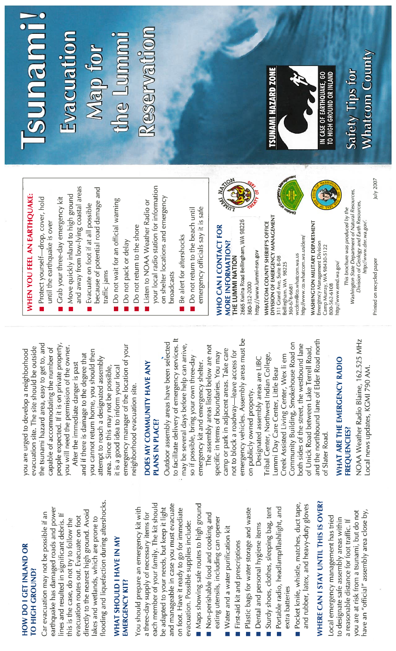### **HOW DO I GET INLAND OR** HOW DO I GET INLAND OR TO HIGH GROUND? TO HIGH GROUND?

looding and liquefaction during aftershocks. flooding and liquefaction during aftershocks. earthquake has damaged roads and power earthquake has damaged roads and power directly to the nearest high ground. Avoid Car evacuation may not be possible if an directly to the nearest high ground. Avoid ines and resulted in significant debris. If Car evacuation may not be possible if an lines and resulted in significant debris. If evacuation routes out. Evacuate on foot akes and wetlands, which are prone to his is the case, do not try to follow the evacuation routes out. Evacuate on foot lakes and wetlands, which are prone to this is the case, do not try to follow the

### **WHAT SHOULD I HAVE IN MY** WHAT SHOULD I HAVE IN MY **EMERGENCY KIT?** EMERGENCY KIT?

each member of your family. The kit should and manageable in case you must evacuate each member of your family. The kit should and manageable in case you must evacuate You should prepare an emergency kit with be adapted to your needs, but keep it light on foot. Have it ready to go for immediate You should prepare an emergency kit with be adapted to your needs, but keep it light on foot. Have it ready to go for immediate a three-day supply of necessary items for three-day supply of necessary items for evacuation. Possible supplies include: evacuation. Possible supplies include:

- Maps showing safe routes to high ground **Maps showing safe routes to high ground** Non-perishable food and cooking and **Non-perishable food and cooking and** 
	- eating utensils, including can opener eating utensils, including can opener Water and a water purification kit Water and a water purification kit
		- First-aid kit and prescriptions **First-aid kit and prescriptions**
- Plastic bags for water storage and waste **Plastic bags for water storage and waster**
- Dental and personal hygiene items **Dental and personal hygiene items**
- Portable radio, headlamp/flashlight, and Sturdy shoes, clothes, sleeping bag, tent Sturdy shoes, clothes, sleeping bag, tent  $\blacksquare$  Portable radio, headlamp/flashlight, and extra batteries
- Pocket knife, whistle, matches, duct tape, and rubber, latex, and heavy-duty gloves Pocket knife, whistle, matches, duct tape, and rubber, latex, and heavy-duty gloves extra batteries

# WHERE CAN I STAY UNTIL THIS IS OVER? WHERE CAN I STAY UNTIL THIS IS OVER?

have an "official" assembly area close by, ou are at risk from a tsunami, but do not you are at risk from a tsunami, but do not have an "official" assembly area close by, ocal emergency management has tried to designate safe assembly areas within Local emergency management has tried a reasonable distance for foot traffic. If to designate safe assembly areas within reasonable distance for foot traffic. If

the tsunami hazard area, easy to get to, and people expected. If it is on private property, the tsunami hazard area, easy to get to, and people expected. If it is on private property you will need the permission of the owner. evacuation site. The site should be outside capable of accommodating the number of you will need the permission of the owner. you are urged to develop a neighborhood evacuation site. The site should be outside capable of accommodating the number of you are urged to develop a neighborhood After the immediate danger is past After the immediate danger is past

emergency manager of the location of your emergency manager of the location of your you cannot return home, you should then you cannot return home, you should then and if there is damage to the degree that and if there is damage to the degree that attempt to reach a designated assembly attempt to reach a designated assembly area. Since this may not be possible, it is a good idea to inform your local it is a good idea to inform your local area. Since this may not be possible, neighborhood evacuation site. neighborhood evacuation site.

## DOES MY COMMUNITY HAVE ANY DOES MY COMMUNITY HAVE ANY PLANS IN PLACE? PLANS IN PLACE?

to facilitate delivery of emergency services. It to facilitate delivery of emergency services. It Outdoor assembly areas have been selected may be several days before help can arrive, Outdoor assembly areas have been selected may be several days before help can arrive, so if possible, bring your own three-day so if possible, bring your own three-day emergency kit and emergency shelter. emergency kit and emergency shelter.

emergency vehicles. Assembly areas must be emergency vehicles. Assembly areas must be The assembly areas listed below are not The assembly areas listed below are not camp or park in adjacent areas. Take care camp or park in adjacent areas. Take care not to block a roadway-leave access for specific in terms of boundaries. You may not to block a roadway—leave access for specific in terms of boundaries. You may on publicly owned property. on publicly owned property.

and the northbound lane of Elder Road north and the northbound lane of Elder Road north Community Building, Smokehouse Road on both sides of the street, the westbound lane Community Building, Smokehouse Road on both sides of the street, the westbound lane of Unick Road between Lake Terrell Road, of Unick Road between Lake Terrell Road, Tribal Center, Northwest Indian College, Creek Assisted Living Center, Wex li em Tribal Center, Northwest Indian College, Creek Assisted Living Center, Wex Ii em Designated assembly areas are LIBC Designated assembly areas are LIBC Lummi Day Care Center, Little Bear Lummi Day Care Center, Little Bear of Slater Road. of Slater Road.

## WHAT ARE THE EMERGENCY RADIO WHAT ARE THE EMERGENCY RADIO **FREQUENCIES?** FREQUENCIES?

NOAA Weather Radio Blaine, 162.525 MHz NOAA Weather Radio Blame, 1 62.525 MHz Local news updates, KGMI 790 AM. Local news updates, KGMI 790 AM.

# WHEN YOU FEEL AN EARTHQUAKE: WHEN YOU FEEL AN EARTHQUAKE:

- Protect yourself-drop, cover, hold Protect yourself—drop, cover, hold until the earthquake is over until the earthquake is over
- Move quickly inland to high ground **Move quickly inland to high ground** Grab your three-day emergency kit Grab your three-day emergency kit
- and away from low-lying coastal areas and away from low-lying coastal areas Evacuate on foot if at all possible **Evacuate on foot if at all possible** 
	- because of potential road damage and because of potential road damage and traffic jams
- Do not wait for an official warning Do not wait for an official warning •
	- Do not pack or delay Do not pack or delay
- Do not return to the shore Do not return to the shore •
- your local radio station for information your local radio station for information Listen to NOAA Weather Radio or ■ Listen to NOAA Weather Radio or
	- on shelter locations and emergency on shelter locations and emergency broadcasts broadcasts
		- Be alert for aftershocks Be alert for aftershocks
- emergency officials say it is safe Do not return to the beach until emergency officials say it is safe **Do not return to the beach until**

### WHO CAN I CONTACT FOR WHO CAN I CONTACT FOR **MORE INFORMATION?**<br>THE LUMMI NATION MORE INFORMATION? THE LUMMI NATION

2665 Kwina Road Bellingham, WA 98226 2665 Kwina Road Bellingham, WA 98226 http://www.lummi-nsn.gov http://www.lummi-nsn.gov 360-312-2000 360-312-2000

WHATCOM COUNTY SHERIFF'S OFFICE<br>DIVISION OF EMERGENCY MANAGEMENT<br>311 Grand Ave, Suite B-08 DIVISION OF EMERGENCY MANAGEMENT WHATCOM COUNTY SHERIFF'S OFFICE http://www.co.whatcom.wa.us/dem/ http:llwww.co.whatcom.wa .us/dem/ wcdem@co.whatcom.wa.us wcdem@co.whatcom.wa.us 311 Grand Aye, Suite 6-08 Bellingham, WA 98225 Bellingham, WA 98225 180-676-6681 360-676-668

**WASHINGTON MILITARY DEPARTMENT** WASHINGTON MILITARY DEPARTMENT Emergency Management Division<br>Camp Murray, WA 98430-5122 Emergency Management Division camp Murray, WA 98430-5122 http://www.emd.wa.gov/ http://www.emd.wa.gov/ 300-562-6108 800-562-6108

S Washington State Department of Natural Resources, Washington State Department of Natural Resources, Division of Geology and Earth Resources,<br>http://www.dnr.wa.gov/. Division of Geology and Earth Resources, This brochure was produced by the This brochure was produced by the

Isunami!

### **Reservation** Reservation Evacuation the Lummi Nap for



Safety Tips for

**Whatcom County** 

Printed on recycled paper Printed on recycled paper

July 2007

http://www.dnr.wa.gov/